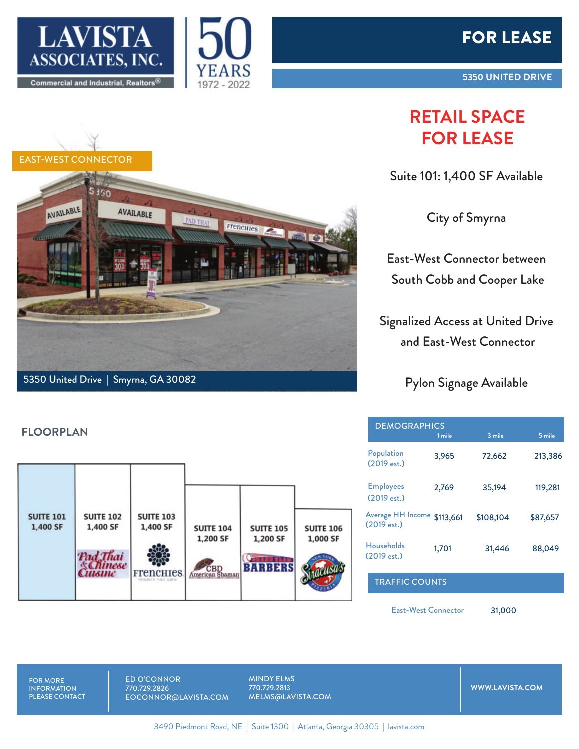





## **RETAIL SPACE FOR LEASE**

Suite 101: 1,400 SF Available

City of Smyrna

East-West Connector between South Cobb and Cooper Lake

Signalized Access at United Drive and East-West Connector

Pylon Signage Available

| <b>DEMOGRAPHICS</b>              |           |           |          |
|----------------------------------|-----------|-----------|----------|
|                                  | 1 mile    | 3 mile    | $5$ mile |
| Population<br>(2019 est.)        | 3,965     | 72,662    | 213,386  |
| <b>Employees</b><br>(2019 est.)  | 2,769     | 35,194    | 119,281  |
| Average HH Income<br>(2019 est.) | \$113,661 | \$108,104 | \$87,657 |
| <b>Households</b><br>(2019 est.) | 1,701     | 31,446    | 88,049   |
| <b>TRAFFIC COUNTS</b>            |           |           |          |

East-West Connector

31,000



5350 United Drive | Smyrna, GA 30082

## **FLOORPLAN**



FOR MORE **INFORMATION** PLEASE CONTACT ED O'CONNOR 770.729.2826 EOCONNOR@LAVISTA.COM MINDY ELMS 770.729.2813 MELMS@LAVISTA.COM

**WWW.LAVISTA.COM**